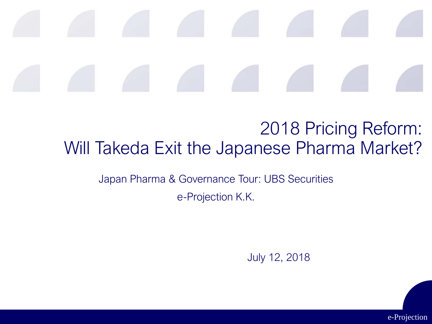#### 2018 Pricing Reform: Will Takeda Exit the Japanese Pharma Market?

Japan Pharma & Governance Tour: UBS Securities

e-Projection K.K.

July 12, 2018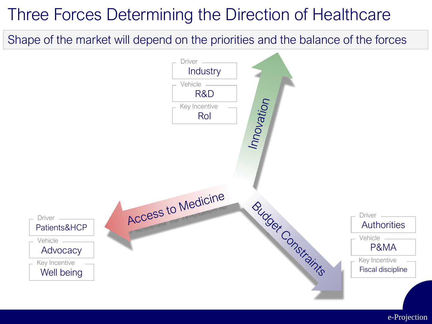## Three Forces Determining the Direction of Healthcare

Shape of the market will depend on the priorities and the balance of the forces

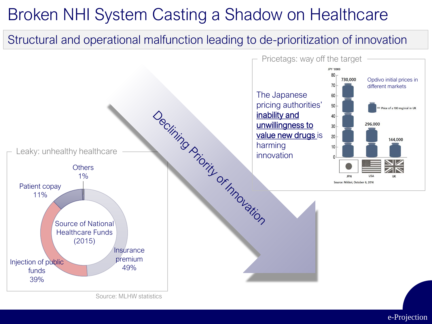## Broken NHI System Casting a Shadow on Healthcare

#### Structural and operational malfunction leading to de-prioritization of innovation



Source: MLHW statistics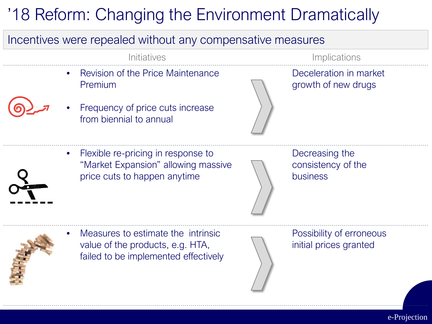## '18 Reform: Changing the Environment Dramatically

#### Incentives were repealed without any compensative measures

• Revision of the Price Maintenance Premium



Frequency of price cuts increase from biennial to annual



Initiatives **Implications** 

Deceleration in market growth of new drugs

• Flexible re-pricing in response to "Market Expansion" allowing massive price cuts to happen anytime

Decreasing the consistency of the business



• Measures to estimate the intrinsic value of the products, e.g. HTA, failed to be implemented effectively

Possibility of erroneous initial prices granted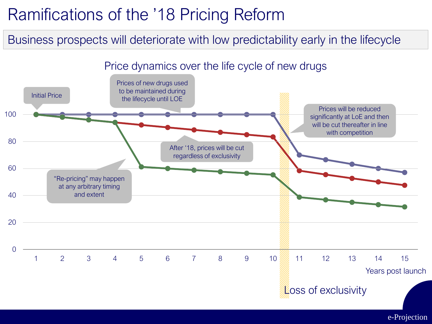## Ramifications of the '18 Pricing Reform

Business prospects will deteriorate with low predictability early in the lifecycle

#### Price dynamics over the life cycle of new drugs

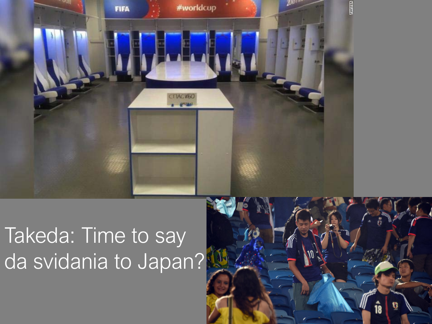

# Takeda: Time to say da svidania to Japan?